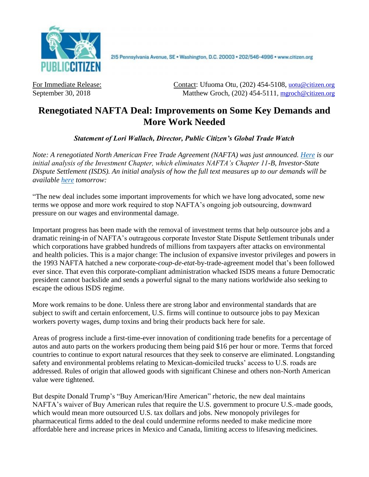

2l5 Pennsylvania Avenue, SE · Washington, D.C. 20003 · 202/546-4996 · www.citizen.org

For Immediate Release: Contact: Ufuoma Otu, (202) 454-5108, [uotu@citizen.org](mailto:uotu@citizen.org) September 30, 2018 Matthew Groch, (202) 454-5111, [mgroch@citizen.org](mailto:uotu@citizen.org)

## **Renegotiated NAFTA Deal: Improvements on Some Key Demands and More Work Needed**

*Statement of Lori Wallach, Director, Public Citizen's Global Trade Watch*

*Note: A renegotiated North American Free Trade Agreement (NAFTA) was just announced. [Here](https://www.citizen.org/sites/default/files/nafta-isds-analysis-sept-2018.pdf) is our initial analysis of the Investment Chapter, which eliminates NAFTA's Chapter 11-B, Investor-State Dispute Settlement (ISDS). An initial analysis of how the full text measures up to our demands will be available [here](https://www.citizen.org/sites/default/files/nafta-text-analysis.pdf) tomorrow:*

"The new deal includes some important improvements for which we have long advocated, some new terms we oppose and more work required to stop NAFTA's ongoing job outsourcing, downward pressure on our wages and environmental damage.

Important progress has been made with the removal of investment terms that help outsource jobs and a dramatic reining-in of NAFTA's outrageous corporate Investor State Dispute Settlement tribunals under which corporations have grabbed hundreds of millions from taxpayers after attacks on environmental and health policies. This is a major change: The inclusion of expansive investor privileges and powers in the 1993 NAFTA hatched a new corporate-*coup-de-etat*-by-trade-agreement model that's been followed ever since. That even this corporate-compliant administration whacked ISDS means a future Democratic president cannot backslide and sends a powerful signal to the many nations worldwide also seeking to escape the odious ISDS regime.

More work remains to be done. Unless there are strong labor and environmental standards that are subject to swift and certain enforcement, U.S. firms will continue to outsource jobs to pay Mexican workers poverty wages, dump toxins and bring their products back here for sale.

Areas of progress include a first-time-ever innovation of conditioning trade benefits for a percentage of autos and auto parts on the workers producing them being paid \$16 per hour or more. Terms that forced countries to continue to export natural resources that they seek to conserve are eliminated. Longstanding safety and environmental problems relating to Mexican-domiciled trucks' access to U.S. roads are addressed. Rules of origin that allowed goods with significant Chinese and others non-North American value were tightened.

But despite Donald Trump's "Buy American/Hire American" rhetoric, the new deal maintains NAFTA's waiver of Buy American rules that require the U.S. government to procure U.S.-made goods, which would mean more outsourced U.S. tax dollars and jobs. New monopoly privileges for pharmaceutical firms added to the deal could undermine reforms needed to make medicine more affordable here and increase prices in Mexico and Canada, limiting access to lifesaving medicines.